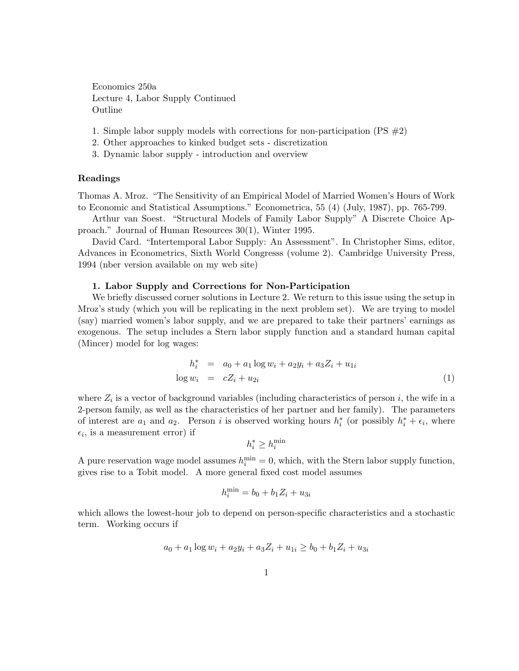Economics 250a Lecture 4, Labor Supply Continued Outline

- 1. Simple labor supply models with corrections for non-participation  $(PS \#2)$
- 2. Other approaches to kinked budget sets discretization
- 3. Dynamic labor supply introduction and overview

## Readings

Thomas A. Mroz. "The Sensitivity of an Empirical Model of Married Women's Hours of Work to Economic and Statistical Assumptions." Econometrica, 55 (4) (July, 1987), pp. 765-799.

Arthur van Soest. "Structural Models of Family Labor Supply" A Discrete Choice Approach." Journal of Human Resources 30(1), Winter 1995.

David Card. "Intertemporal Labor Supply: An Assessment". In Christopher Sims, editor, Advances in Econometrics, Sixth World Congresss (volume 2). Cambridge University Press, 1994 (nber version available on my web site)

# 1. Labor Supply and Corrections for Non-Participation

We briefly discussed corner solutions in Lecture 2. We return to this issue using the setup in Mroz's study (which you will be replicating in the next problem set). We are trying to model (say) married women's labor supply, and we are prepared to take their partners' earnings as exogenous. The setup includes a Stern labor supply function and a standard human capital (Mincer) model for log wages:

$$
h_i^* = a_0 + a_1 \log w_i + a_2 y_i + a_3 Z_i + u_{1i}
$$
  

$$
\log w_i = cZ_i + u_{2i}
$$
 (1)

where  $Z_i$  is a vector of background variables (including characteristics of person i, the wife in a 2-person family, as well as the characteristics of her partner and her family). The parameters of interest are  $a_1$  and  $a_2$ . Person i is observed working hours  $h_i^*$  (or possibly  $h_i^* + \epsilon_i$ , where  $\epsilon_i$ , is a measurement error) if

$$
h_i^* \ge h_i^{\min}
$$

A pure reservation wage model assumes  $h_i^{\min} = 0$ , which, with the Stern labor supply function, gives rise to a Tobit model. A more general fixed cost model assumes

$$
h_i^{\min} = b_0 + b_1 Z_i + u_{3i}
$$

which allows the lowest-hour job to depend on person-specific characteristics and a stochastic term. Working occurs if

$$
a_0 + a_1 \log w_i + a_2 y_i + a_3 Z_i + u_{1i} \ge b_0 + b_1 Z_i + u_{3i}
$$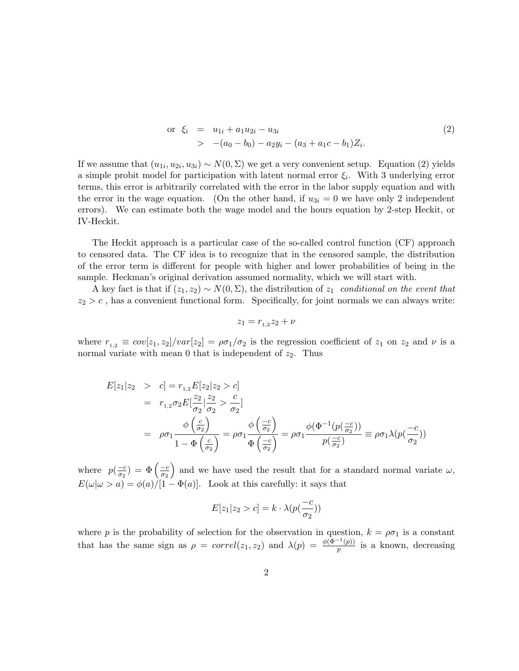$$
\begin{array}{rcl}\n\text{or} & \xi_i & = & u_{1i} + a_1 u_{2i} - u_{3i} \\
& > & -(a_0 - b_0) - a_2 y_i - (a_3 + a_1 c - b_1) Z_i.\n\end{array} \tag{2}
$$

If we assume that  $(u_{1i}, u_{2i}, u_{3i}) \sim N(0, \Sigma)$  we get a very convenient setup. Equation (2) yields a simple probit model for participation with latent normal error  $\xi_i$ . With 3 underlying error terms, this error is arbitrarily correlated with the error in the labor supply equation and with the error in the wage equation. (On the other hand, if  $u_{3i} = 0$  we have only 2 independent errors). We can estimate both the wage model and the hours equation by 2-step Heckit, or IV-Heckit.

The Heckit approach is a particular case of the so-called control function (CF) approach to censored data. The CF idea is to recognize that in the censored sample, the distribution of the error term is different for people with higher and lower probabilities of being in the sample. Heckman's original derivation assumed normality, which we will start with.

A key fact is that if  $(z_1, z_2) \sim N(0, \Sigma)$ , the distribution of  $z_1$  conditional on the event that  $z_2 > c$ , has a convenient functional form. Specifically, for joint normals we can always write:

$$
z_1 = r_{1,2}z_2 + \nu
$$

where  $r_{1,2} \equiv cov[z_1, z_2]/var[z_2] = \rho \sigma_1/\sigma_2$  is the regression coefficient of  $z_1$  on  $z_2$  and  $\nu$  is a normal variate with mean  $0$  that is independent of  $z_2$ . Thus

$$
E[z_1|z_2 \ge c] = r_{1,2}E[z_2|z_2 > c]
$$
  
=  $r_{1,2}\sigma_2 E\left[\frac{z_2}{\sigma_2}\right] \frac{z_2}{\sigma_2} > \frac{c}{\sigma_2}$   
=  $\rho \sigma_1 \frac{\phi\left(\frac{c}{\sigma_2}\right)}{1 - \Phi\left(\frac{c}{\sigma_2}\right)} = \rho \sigma_1 \frac{\phi\left(\frac{-c}{\sigma_2}\right)}{\Phi\left(\frac{-c}{\sigma_2}\right)} = \rho \sigma_1 \frac{\phi(\Phi^{-1}(p(\frac{-c}{\sigma_2})))}{p(\frac{-c}{\sigma_2})} = \rho \sigma_1 \lambda(p(\frac{-c}{\sigma_2}))$ 

where  $p(\frac{-c}{\sigma_0})$  $\frac{-c}{\sigma_2})\,=\,\Phi\left(\frac{-c}{\sigma_2}\right)$  $\overline{\sigma_2}$ ) and we have used the result that for a standard normal variate  $\omega$ ,  $E(\omega|\omega > a) = \phi(a)/[1 - \Phi(a)]$ . Look at this carefully: it says that

$$
E[z_1|z_2 > c] = k \cdot \lambda(p(\frac{-c}{\sigma_2}))
$$

where p is the probability of selection for the observation in question,  $k = \rho \sigma_1$  is a constant that has the same sign as  $\rho = correl(z_1, z_2)$  and  $\lambda(p) = \frac{\phi(\Phi^{-1}(p))}{p}$  $\frac{f(p)}{p}$  is a known, decreasing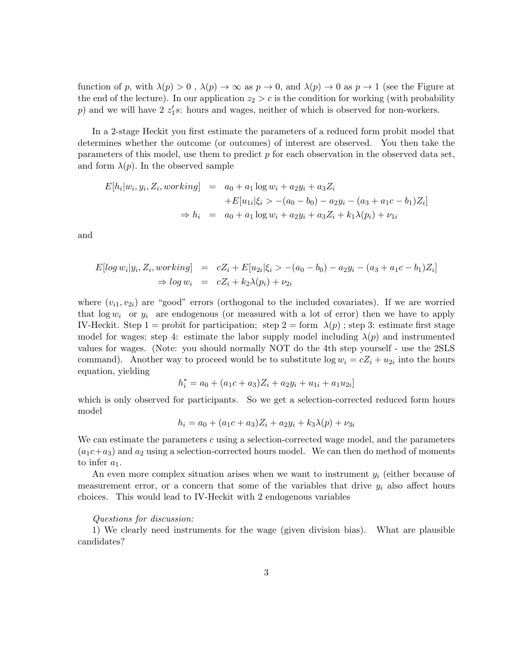function of p, with  $\lambda(p) > 0$ ,  $\lambda(p) \to \infty$  as  $p \to 0$ , and  $\lambda(p) \to 0$  as  $p \to 1$  (see the Figure at the end of the lecture). In our application  $z_2 > c$  is the condition for working (with probability p) and we will have  $2 \, z_1's$ : hours and wages, neither of which is observed for non-workers.

In a 2-stage Heckit you first estimate the parameters of a reduced form probit model that determines whether the outcome (or outcomes) of interest are observed. You then take the parameters of this model, use them to predict p for each observation in the observed data set, and form  $\lambda(p)$ . In the observed sample

$$
E[h_i|w_i, y_i, Z_i, working] = a_0 + a_1 \log w_i + a_2 y_i + a_3 Z_i
$$
  
+
$$
E[u_{1i}|\xi_i\rangle - (a_0 - b_0) - a_2 y_i - (a_3 + a_1 c - b_1) Z_i]
$$
  

$$
\Rightarrow h_i = a_0 + a_1 \log w_i + a_2 y_i + a_3 Z_i + k_1 \lambda(p_i) + \nu_{1i}
$$

and

$$
E[log w_i|y_i, Z_i, working] = cZ_i + E[u_{2i}|\xi_i > -(a_0 - b_0) - a_2y_i - (a_3 + a_1c - b_1)Z_i]
$$
  
\n
$$
\Rightarrow log w_i = cZ_i + k_2\lambda(p_i) + \nu_{2i}
$$

where  $(v_{i1}, v_{2i})$  are "good" errors (orthogonal to the included covariates). If we are worried that  $\log w_i$  or  $y_i$  are endogenous (or measured with a lot of error) then we have to apply IV-Heckit. Step 1 = probit for participation; step 2 = form  $\lambda(p)$ ; step 3: estimate first stage model for wages; step 4: estimate the labor supply model including  $\lambda(p)$  and instrumented values for wages. (Note: you should normally NOT do the 4th step yourself - use the 2SLS command). Another way to proceed would be to substitute  $\log w_i = cZ_i + u_{2i}$  into the hours equation, yielding

$$
h_i^* = a_0 + (a_1c + a_3)Z_i + a_2y_i + u_{1i} + a_1u_{2i}
$$

which is only observed for participants. So we get a selection-corrected reduced form hours model

$$
h_i = a_0 + (a_1c + a_3)Z_i + a_2y_i + k_3\lambda(p) + \nu_{3i}
$$

We can estimate the parameters  $c$  using a selection-corrected wage model, and the parameters  $(a_1c+a_3)$  and  $a_2$  using a selection-corrected hours model. We can then do method of moments to infer  $a_1$ .

An even more complex situation arises when we want to instrument  $y_i$  (either because of measurement error, or a concern that some of the variables that drive  $y_i$  also affect hours choices. This would lead to IV-Heckit with 2 endogenous variables

## Questions for discussion:

1) We clearly need instruments for the wage (given division bias). What are plausible candidates?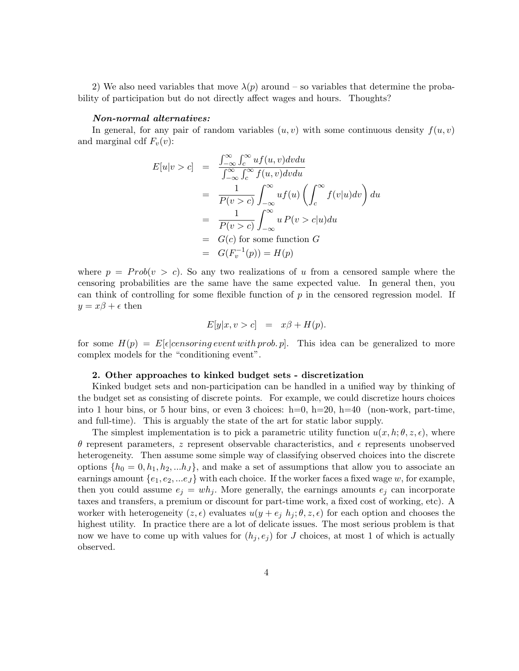2) We also need variables that move  $\lambda(p)$  around – so variables that determine the probability of participation but do not directly affect wages and hours. Thoughts?

#### Non-normal alternatives:

In general, for any pair of random variables  $(u, v)$  with some continuous density  $f(u, v)$ and marginal cdf  $F_v(v)$ :

$$
E[u|v > c] = \frac{\int_{-\infty}^{\infty} \int_{c}^{\infty} uf(u, v) dv du}{\int_{-\infty}^{\infty} \int_{c}^{\infty} f(u, v) dv du}
$$
  

$$
= \frac{1}{P(v > c)} \int_{-\infty}^{\infty} uf(u) \left( \int_{c}^{\infty} f(v|u) dv \right) du
$$
  

$$
= \frac{1}{P(v > c)} \int_{-\infty}^{\infty} u P(v > c|u) du
$$
  

$$
= G(c) \text{ for some function } G
$$
  

$$
= G(F_v^{-1}(p)) = H(p)
$$

where  $p = Prob(v > c)$ . So any two realizations of u from a censored sample where the censoring probabilities are the same have the same expected value. In general then, you can think of controlling for some flexible function of  $p$  in the censored regression model. If  $y = x\beta + \epsilon$  then

$$
E[y|x, v > c] = x\beta + H(p).
$$

for some  $H(p) = E[\epsilon]$ censoring event with prob. p. This idea can be generalized to more complex models for the "conditioning event".

# 2. Other approaches to kinked budget sets - discretization

Kinked budget sets and non-participation can be handled in a unified way by thinking of the budget set as consisting of discrete points. For example, we could discretize hours choices into 1 hour bins, or 5 hour bins, or even 3 choices:  $h=0$ ,  $h=20$ ,  $h=40$  (non-work, part-time, and full-time). This is arguably the state of the art for static labor supply.

The simplest implementation is to pick a parametric utility function  $u(x, h; \theta, z, \epsilon)$ , where θ represent parameters, z represent observable characteristics, and  $\epsilon$  represents unobserved heterogeneity. Then assume some simple way of classifying observed choices into the discrete options  $\{h_0 = 0, h_1, h_2, ... h_J\}$ , and make a set of assumptions that allow you to associate an earnings amount  $\{e_1, e_2, \ldots e_J\}$  with each choice. If the worker faces a fixed wage w, for example, then you could assume  $e_j = wh_j$ . More generally, the earnings amounts  $e_j$  can incorporate taxes and transfers, a premium or discount for part-time work, a fixed cost of working, etc). A worker with heterogeneity  $(z, \epsilon)$  evaluates  $u(y + e_j h_j; \theta, z, \epsilon)$  for each option and chooses the highest utility. In practice there are a lot of delicate issues. The most serious problem is that now we have to come up with values for  $(h_i, e_i)$  for J choices, at most 1 of which is actually observed.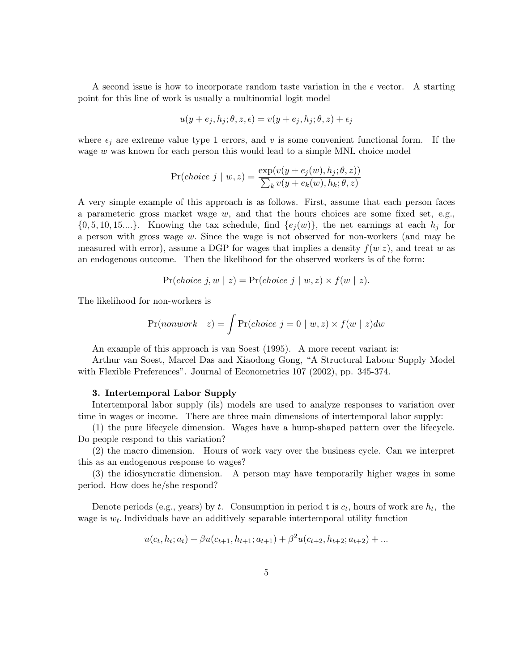A second issue is how to incorporate random taste variation in the  $\epsilon$  vector. A starting point for this line of work is usually a multinomial logit model

$$
u(y + e_j, h_j; \theta, z, \epsilon) = v(y + e_j, h_j; \theta, z) + \epsilon_j
$$

where  $\epsilon_i$  are extreme value type 1 errors, and v is some convenient functional form. If the wage w was known for each person this would lead to a simple MNL choice model

$$
\Pr(choice \space j \mid w, z) = \frac{\exp(v(y + e_j(w), h_j; \theta, z))}{\sum_k v(y + e_k(w), h_k; \theta, z)}
$$

A very simple example of this approach is as follows. First, assume that each person faces a parameteric gross market wage  $w$ , and that the hours choices are some fixed set, e.g.,  $\{0, 5, 10, 15... \}$ . Knowing the tax schedule, find  $\{e_i(w)\}\$ , the net earnings at each  $h_i$  for a person with gross wage w. Since the wage is not observed for non-workers (and may be measured with error), assume a DGP for wages that implies a density  $f(w|z)$ , and treat w as an endogenous outcome. Then the likelihood for the observed workers is of the form:

$$
Pr(choice \; j, w \; | \; z) = Pr(choice \; j \; | \; w, z) \times f(w \; | \; z).
$$

The likelihood for non-workers is

$$
Pr(nonwork \mid z) = \int Pr(choice \mid j = 0 \mid w, z) \times f(w \mid z) dw
$$

An example of this approach is van Soest (1995). A more recent variant is:

Arthur van Soest, Marcel Das and Xiaodong Gong, "A Structural Labour Supply Model with Flexible Preferences". Journal of Econometrics 107 (2002), pp. 345-374.

## 3. Intertemporal Labor Supply

Intertemporal labor supply (ils) models are used to analyze responses to variation over time in wages or income. There are three main dimensions of intertemporal labor supply:

(1) the pure lifecycle dimension. Wages have a hump-shaped pattern over the lifecycle. Do people respond to this variation?

(2) the macro dimension. Hours of work vary over the business cycle. Can we interpret this as an endogenous response to wages?

(3) the idiosyncratic dimension. A person may have temporarily higher wages in some period. How does he/she respond?

Denote periods (e.g., years) by t. Consumption in period t is  $c_t$ , hours of work are  $h_t$ , the wage is  $w_t$ . Individuals have an additively separable intertemporal utility function

$$
u(c_t, h_t; a_t) + \beta u(c_{t+1}, h_{t+1}; a_{t+1}) + \beta^2 u(c_{t+2}, h_{t+2}; a_{t+2}) + \dots
$$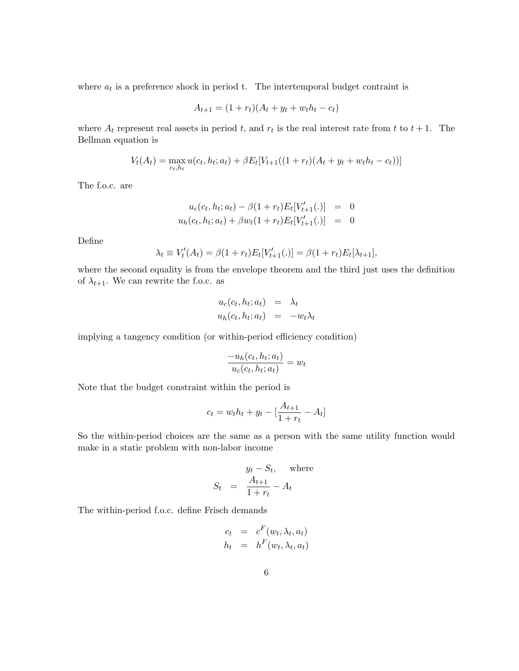where  $a_t$  is a preference shock in period t. The intertemporal budget contraint is

$$
A_{t+1} = (1 + r_t)(A_t + y_t + w_t h_t - c_t)
$$

where  $A_t$  represent real assets in period t, and  $r_t$  is the real interest rate from t to  $t+1$ . The Bellman equation is

$$
V_t(A_t) = \max_{c_t, h_t} u(c_t, h_t; a_t) + \beta E_t[V_{t+1}((1+r_t)(A_t + y_t + w_t h_t - c_t))]
$$

The f.o.c. are

$$
u_c(c_t, h_t; a_t) - \beta(1 + r_t)E_t[V'_{t+1}(.)] = 0
$$
  

$$
u_h(c_t, h_t; a_t) + \beta w_t(1 + r_t)E_t[V'_{t+1}(.)] = 0
$$

Define

$$
\lambda_t \equiv V'_t(A_t) = \beta(1 + r_t)E_t[V'_{t+1}(.)] = \beta(1 + r_t)E_t[\lambda_{t+1}],
$$

where the second equality is from the envelope theorem and the third just uses the definition of  $\lambda_{t+1}$ . We can rewrite the f.o.c. as

$$
u_c(c_t, h_t; a_t) = \lambda_t
$$
  

$$
u_h(c_t, h_t; a_t) = -w_t \lambda_t
$$

implying a tangency condition (or within-period efficiency condition)

$$
\frac{-u_h(c_t, h_t; a_t)}{u_c(c_t, h_t; a_t)} = w_t
$$

Note that the budget constraint within the period is

$$
c_t = w_t h_t + y_t - [\frac{A_{t+1}}{1+r_t} - A_t]
$$

So the within-period choices are the same as a person with the same utility function would make in a static problem with non-labor income

$$
S_t = \frac{y_t - S_t, \quad \text{where}}{1 + r_t} - A_t
$$

The within-period f.o.c. define Frisch demands

$$
c_t = c^F(w_t, \lambda_t, a_t)
$$
  

$$
h_t = h^F(w_t, \lambda_t, a_t)
$$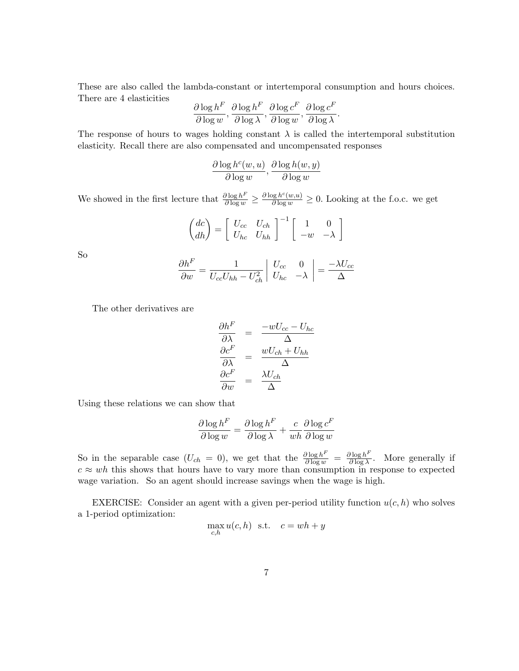These are also called the lambda-constant or intertemporal consumption and hours choices. There are 4 elasticities

$$
\frac{\partial \log h^F}{\partial \log w}, \frac{\partial \log h^F}{\partial \log \lambda}, \frac{\partial \log c^F}{\partial \log w}, \frac{\partial \log c^F}{\partial \log \lambda}.
$$

The response of hours to wages holding constant  $\lambda$  is called the intertemporal substitution elasticity. Recall there are also compensated and uncompensated responses

$$
\frac{\partial \log h^c(w, u)}{\partial \log w}, \frac{\partial \log h(w, y)}{\partial \log w}
$$

We showed in the first lecture that  $\frac{\partial \log h^F}{\partial \log w} \geq \frac{\partial \log h^c(w,u)}{\partial \log w} \geq 0$ . Looking at the f.o.c. we get

$$
\begin{pmatrix} dc \\ dh \end{pmatrix} = \begin{bmatrix} U_{cc} & U_{ch} \\ U_{hc} & U_{hh} \end{bmatrix}^{-1} \begin{bmatrix} 1 & 0 \\ -w & -\lambda \end{bmatrix}
$$

So

$$
\frac{\partial h^F}{\partial w} = \frac{1}{U_{cc}U_{hh} - U_{ch}^2} \begin{vmatrix} U_{cc} & 0 \\ U_{hc} & -\lambda \end{vmatrix} = \frac{-\lambda U_{cc}}{\Delta}
$$

The other derivatives are

$$
\frac{\partial h^F}{\partial \lambda} = \frac{-wU_{cc} - U_{hc}}{\Delta}
$$

$$
\frac{\partial c^F}{\partial \lambda} = \frac{wU_{ch} + U_{hh}}{\Delta}
$$

$$
\frac{\partial c^F}{\partial w} = \frac{\lambda U_{ch}}{\Delta}
$$

Using these relations we can show that

$$
\frac{\partial \log h^F}{\partial \log w} = \frac{\partial \log h^F}{\partial \log \lambda} + \frac{c}{wh} \frac{\partial \log c^F}{\partial \log w}
$$

So in the separable case  $(U_{ch} = 0)$ , we get that the  $\frac{\partial \log h^F}{\partial \log w} = \frac{\partial \log h^F}{\partial \log \lambda}$  $\frac{\partial \log h^2}{\partial \log \lambda}$ . More generally if  $c \approx wh$  this shows that hours have to vary more than consumption in response to expected wage variation. So an agent should increase savings when the wage is high.

EXERCISE: Consider an agent with a given per-period utility function  $u(c, h)$  who solves a 1-period optimization:

$$
\max_{c,h} u(c,h) \text{ s.t. } c = wh + y
$$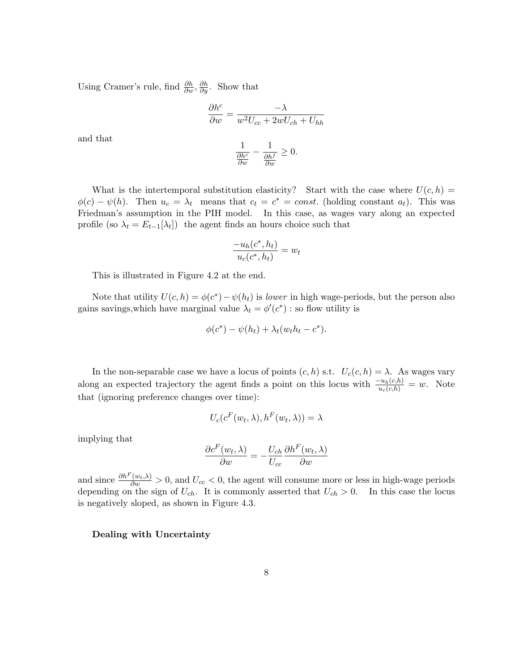Using Cramer's rule, find  $\frac{\partial h}{\partial w}$ ,  $\frac{\partial h}{\partial y}$ . Show that

$$
\frac{\partial h^c}{\partial w} = \frac{-\lambda}{w^2 U_{cc} + 2wU_{ch} + U_{hh}}
$$

$$
\frac{1}{\frac{\partial h^c}{\partial w}} - \frac{1}{\frac{\partial h^f}{\partial w}} \ge 0.
$$

and that

What is the intertemporal substitution elasticity? Start with the case where  $U(c, h) =$  $\phi(c) - \psi(h)$ . Then  $u_c = \lambda_t$  means that  $c_t = c^* = const.$  (holding constant  $a_t$ ). This was Friedman's assumption in the PIH model. In this case, as wages vary along an expected profile (so  $\lambda_t = E_{t-1}[\lambda_t]$ ) the agent finds an hours choice such that

$$
\frac{-u_h(c^*,h_t)}{u_c(c^*,h_t)} = w_t
$$

This is illustrated in Figure 4.2 at the end.

Note that utility  $U(c, h) = \phi(c^*) - \psi(h_t)$  is *lower* in high wage-periods, but the person also gains savings, which have marginal value  $\lambda_t = \phi'(c^*)$ : so flow utility is

$$
\phi(c^*) - \psi(h_t) + \lambda_t (w_t h_t - c^*).
$$

In the non-separable case we have a locus of points  $(c, h)$  s.t.  $U_c(c, h) = \lambda$ . As wages vary along an expected trajectory the agent finds a point on this locus with  $\frac{-u_h(c,h)}{u_c(c,h)} = w$ . Note that (ignoring preference changes over time):

$$
U_c(c^F(w_t, \lambda), h^F(w_t, \lambda)) = \lambda
$$

implying that

$$
\frac{\partial c^{F}(w_{t}, \lambda)}{\partial w} = -\frac{U_{ch}}{U_{cc}} \frac{\partial h^{F}(w_{t}, \lambda)}{\partial w}
$$

and since  $\frac{\partial h^F(w_t, \lambda)}{\partial w} > 0$ , and  $U_{cc} < 0$ , the agent will consume more or less in high-wage periods depending on the sign of  $U_{ch}$ . It is commonly asserted that  $U_{ch} > 0$ . In this case the locus is negatively sloped, as shown in Figure 4.3.

# Dealing with Uncertainty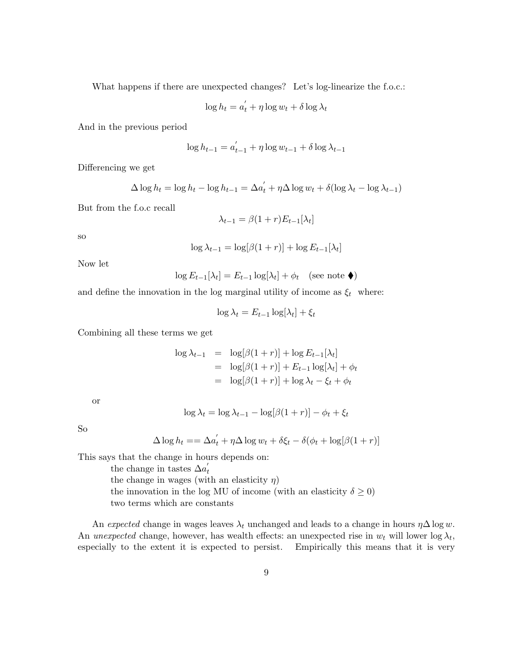What happens if there are unexpected changes? Let's log-linearize the f.o.c.:

$$
\log h_t = a_t' + \eta \log w_t + \delta \log \lambda_t
$$

And in the previous period

$$
\log h_{t-1} = a'_{t-1} + \eta \log w_{t-1} + \delta \log \lambda_{t-1}
$$

Differencing we get

$$
\Delta \log h_t = \log h_t - \log h_{t-1} = \Delta a'_t + \eta \Delta \log w_t + \delta (\log \lambda_t - \log \lambda_{t-1})
$$

But from the f.o.c recall

$$
\lambda_{t-1} = \beta(1+r)E_{t-1}[\lambda_t]
$$

so

$$
\log \lambda_{t-1} = \log[\beta(1+r)] + \log E_{t-1}[\lambda_t]
$$

Now let

$$
\log E_{t-1}[\lambda_t] = E_{t-1} \log[\lambda_t] + \phi_t \quad \text{(see note } \blacklozenge\text{)}
$$

and define the innovation in the log marginal utility of income as  $\xi_t$  where:

$$
\log \lambda_t = E_{t-1} \log[\lambda_t] + \xi_t
$$

Combining all these terms we get

$$
\log \lambda_{t-1} = \log[\beta(1+r)] + \log E_{t-1}[\lambda_t]
$$
  
= 
$$
\log[\beta(1+r)] + E_{t-1} \log[\lambda_t] + \phi_t
$$
  
= 
$$
\log[\beta(1+r)] + \log \lambda_t - \xi_t + \phi_t
$$

or

$$
\log \lambda_t = \log \lambda_{t-1} - \log[\beta(1+r)] - \phi_t + \xi_t
$$

So

$$
\Delta \log h_t == \Delta a'_t + \eta \Delta \log w_t + \delta \xi_t - \delta (\phi_t + \log[\beta(1+r)]
$$

This says that the change in hours depends on:

the change in tastes  $\Delta a_t'$ the change in wages (with an elasticity  $\eta$ ) the innovation in the log MU of income (with an elasticity  $\delta \geq 0$ ) two terms which are constants

An expected change in wages leaves  $\lambda_t$  unchanged and leads to a change in hours  $\eta\Delta \log w$ . An unexpected change, however, has wealth effects: an unexpected rise in  $w_t$  will lower log  $\lambda_t$ , especially to the extent it is expected to persist. Empirically this means that it is very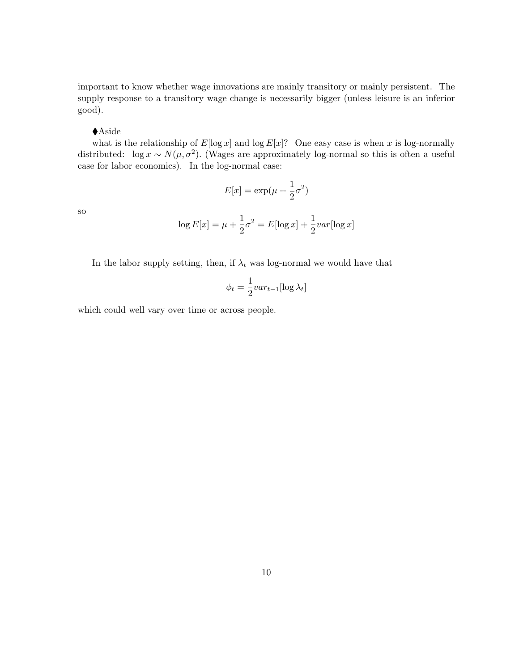important to know whether wage innovations are mainly transitory or mainly persistent. The supply response to a transitory wage change is necessarily bigger (unless leisure is an inferior good).

## ◆ Aside

what is the relationship of  $E[\log x]$  and  $\log E[x]$ ? One easy case is when x is log-normally distributed:  $\log x \sim N(\mu, \sigma^2)$ . (Wages are approximately log-normal so this is often a useful case for labor economics). In the log-normal case:

$$
E[x] = \exp(\mu + \frac{1}{2}\sigma^2)
$$

so

$$
\log E[x] = \mu + \frac{1}{2}\sigma^2 = E[\log x] + \frac{1}{2}var[\log x]
$$

In the labor supply setting, then, if  $\lambda_t$  was log-normal we would have that

$$
\phi_t = \frac{1}{2}var_{t-1}[\log \lambda_t]
$$

which could well vary over time or across people.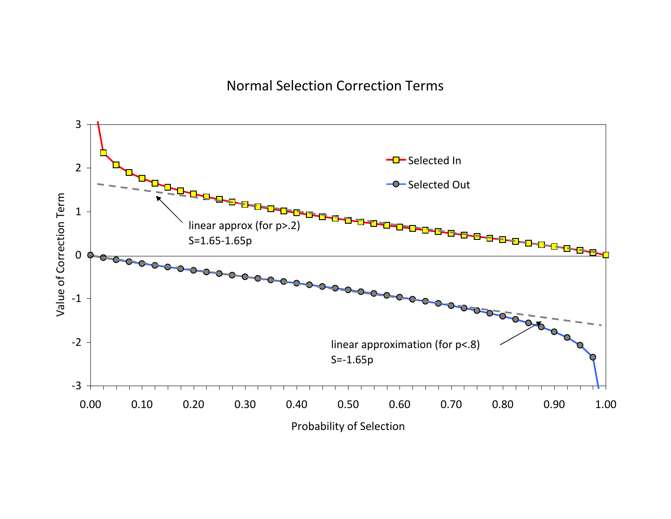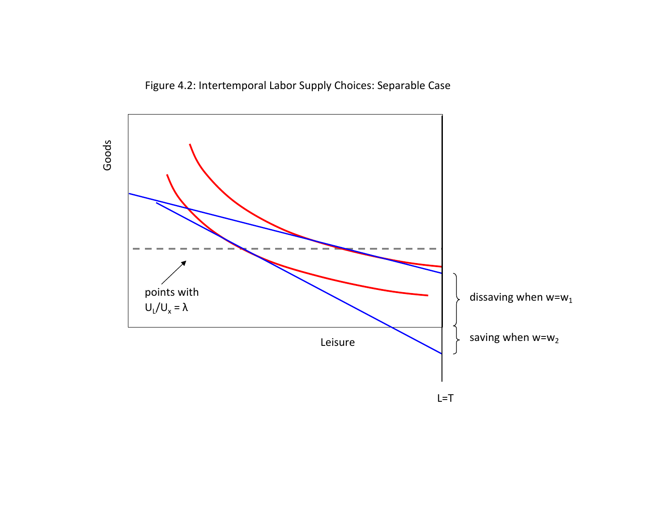Figure 4.2: Intertemporal Labor Supply Choices: Separable Case